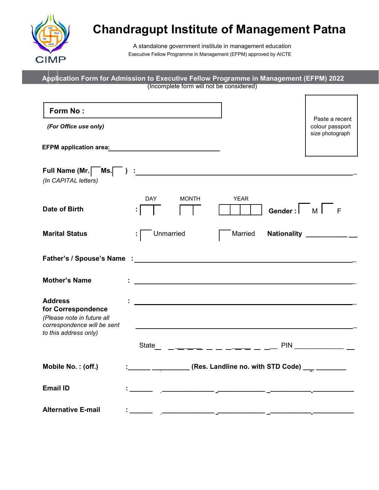

# Chandragupt Institute of Management Patna

A standalone government institute in management education Executive Fellow Programme in Management (EFPM) approved by AICTE

| Application Form for Admission to Executive Fellow Programme in Management (EFPM) 2022                                                                                                                                         | (Incomplete form will not be considered) |                                                                                                                      |                                                      |
|--------------------------------------------------------------------------------------------------------------------------------------------------------------------------------------------------------------------------------|------------------------------------------|----------------------------------------------------------------------------------------------------------------------|------------------------------------------------------|
|                                                                                                                                                                                                                                |                                          |                                                                                                                      |                                                      |
| Form No:<br>(For Office use only)                                                                                                                                                                                              |                                          |                                                                                                                      | Paste a recent<br>colour passport<br>size photograph |
|                                                                                                                                                                                                                                |                                          |                                                                                                                      |                                                      |
| (In CAPITAL letters)                                                                                                                                                                                                           |                                          |                                                                                                                      |                                                      |
| <b>Date of Birth</b>                                                                                                                                                                                                           | <b>DAY</b><br><b>MONTH</b>               | <b>YEAR</b>                                                                                                          | Gender:   M   F                                      |
| <b>Marital Status</b>                                                                                                                                                                                                          | Unmarried                                | Married                                                                                                              | Nationality ___________                              |
| Father's / Spouse's Name : the contract of the contract of the contract of the contract of the contract of the contract of the contract of the contract of the contract of the contract of the contract of the contract of the |                                          |                                                                                                                      |                                                      |
| <b>Mother's Name</b>                                                                                                                                                                                                           |                                          | <u> 1989 - Johann John Stein, mars and de British and de British and de British and de British and de British an</u> |                                                      |
| <b>Address</b><br>for Correspondence<br>(Please note in future all<br>correspondence will be sent<br>to this address only)                                                                                                     |                                          |                                                                                                                      |                                                      |
|                                                                                                                                                                                                                                | State                                    | _ <del>___</del> ____ <del>__</del> _                                                                                |                                                      |
| Mobile No.: (off.)                                                                                                                                                                                                             |                                          | <u>_____</u> ____________(Res. Landline no. with STD Code) ___ _________                                             |                                                      |
| <b>Email ID</b>                                                                                                                                                                                                                |                                          |                                                                                                                      |                                                      |
| <b>Alternative E-mail</b>                                                                                                                                                                                                      |                                          |                                                                                                                      |                                                      |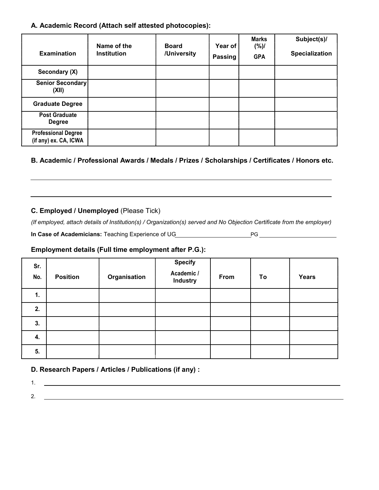A. Academic Record (Attach self attested photocopies):

| <b>Examination</b>                                  | Name of the<br><b>Institution</b> | <b>Board</b><br>/University | Year of<br><b>Passing</b> | <b>Marks</b><br>$(\%)/$<br><b>GPA</b> | Subject(s)/<br>Specialization |
|-----------------------------------------------------|-----------------------------------|-----------------------------|---------------------------|---------------------------------------|-------------------------------|
| Secondary (X)                                       |                                   |                             |                           |                                       |                               |
| Senior Secondary<br>(XII)                           |                                   |                             |                           |                                       |                               |
| <b>Graduate Degree</b>                              |                                   |                             |                           |                                       |                               |
| <b>Post Graduate</b><br><b>Degree</b>               |                                   |                             |                           |                                       |                               |
| <b>Professional Degree</b><br>(if any) ex. CA, ICWA |                                   |                             |                           |                                       |                               |

B. Academic / Professional Awards / Medals / Prizes / Scholarships / Certificates / Honors etc.

#### C. Employed / Unemployed (Please Tick)

(If employed, attach details of Institution(s) / Organization(s) served and No Objection Certificate from the employer)

In Case of Academicians: Teaching Experience of UG PG

## Employment details (Full time employment after P.G.):

| Sr.<br>No. | <b>Position</b> | Organisation | <b>Specify</b><br>Academic /<br><b>Industry</b> | From | To | <b>Years</b> |
|------------|-----------------|--------------|-------------------------------------------------|------|----|--------------|
| 1.         |                 |              |                                                 |      |    |              |
| 2.         |                 |              |                                                 |      |    |              |
| 3.         |                 |              |                                                 |      |    |              |
| 4.         |                 |              |                                                 |      |    |              |
| 5.         |                 |              |                                                 |      |    |              |

### D. Research Papers / Articles / Publications (if any) :

1. 2.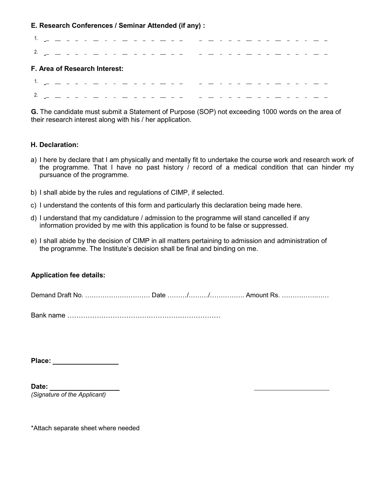E. Research Conferences / Seminar Attended (if any) :

|                                                     |  |  | . |  |  |  |  |  |  |  |  |  |  |  |  |
|-----------------------------------------------------|--|--|---|--|--|--|--|--|--|--|--|--|--|--|--|
| $2 - 2 = -$                                         |  |  |   |  |  |  |  |  |  |  |  |  |  |  |  |
| F. Area of Research Interest:                       |  |  |   |  |  |  |  |  |  |  |  |  |  |  |  |
| $1.11 \pm 1.11 \pm 1.11 \pm 1.11 \pm 1.11 \pm 1.11$ |  |  |   |  |  |  |  |  |  |  |  |  |  |  |  |
|                                                     |  |  |   |  |  |  |  |  |  |  |  |  |  |  |  |

G. The candidate must submit a Statement of Purpose (SOP) not exceeding 1000 words on the area of their research interest along with his / her application.

#### H. Declaration:

- a) I here by declare that I am physically and mentally fit to undertake the course work and research work of the programme. That I have no past history  $\overline{I}$  record of a medical condition that can hinder my pursuance of the programme.
- b) I shall abide by the rules and regulations of CIMP, if selected.
- c) I understand the contents of this form and particularly this declaration being made here.
- d) I understand that my candidature / admission to the programme will stand cancelled if any information provided by me with this application is found to be false or suppressed.
- e) I shall abide by the decision of CIMP in all matters pertaining to admission and administration of the programme. The Institute's decision shall be final and binding on me.

#### Application fee details:

Demand Draft No. ………………………… Date ………/………/……………. Amount Rs. …………….……

Bank name ……………………………….………….………………

Place:

Date: (Signature of the Applicant)

\*Attach separate sheet where needed